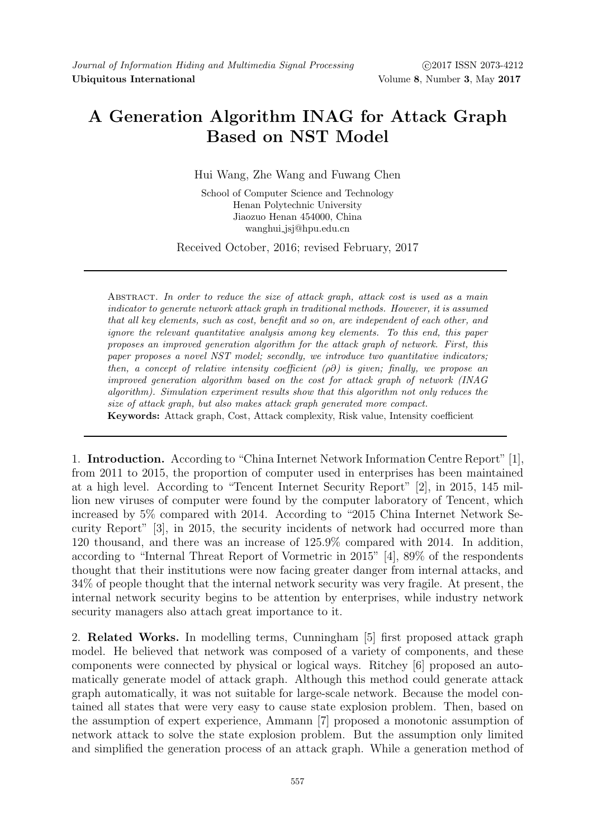# A Generation Algorithm INAG for Attack Graph Based on NST Model

Hui Wang, Zhe Wang and Fuwang Chen

School of Computer Science and Technology Henan Polytechnic University Jiaozuo Henan 454000, China wanghui jsj@hpu.edu.cn

Received October, 2016; revised February, 2017

ABSTRACT. In order to reduce the size of attack graph, attack cost is used as a main indicator to generate network attack graph in traditional methods. However, it is assumed that all key elements, such as cost, benefit and so on, are independent of each other, and ignore the relevant quantitative analysis among key elements. To this end, this paper proposes an improved generation algorithm for the attack graph of network. First, this paper proposes a novel NST model; secondly, we introduce two quantitative indicators; then, a concept of relative intensity coefficient  $(\rho \partial)$  is given; finally, we propose an improved generation algorithm based on the cost for attack graph of network (INAG algorithm). Simulation experiment results show that this algorithm not only reduces the size of attack graph, but also makes attack graph generated more compact.

Keywords: Attack graph, Cost, Attack complexity, Risk value, Intensity coefficient

1. Introduction. According to "China Internet Network Information Centre Report" [1], from 2011 to 2015, the proportion of computer used in enterprises has been maintained at a high level. According to "Tencent Internet Security Report" [2], in 2015, 145 million new viruses of computer were found by the computer laboratory of Tencent, which increased by 5% compared with 2014. According to "2015 China Internet Network Security Report" [3], in 2015, the security incidents of network had occurred more than 120 thousand, and there was an increase of 125.9% compared with 2014. In addition, according to "Internal Threat Report of Vormetric in 2015" [4], 89% of the respondents thought that their institutions were now facing greater danger from internal attacks, and 34% of people thought that the internal network security was very fragile. At present, the internal network security begins to be attention by enterprises, while industry network security managers also attach great importance to it.

2. Related Works. In modelling terms, Cunningham [5] first proposed attack graph model. He believed that network was composed of a variety of components, and these components were connected by physical or logical ways. Ritchey [6] proposed an automatically generate model of attack graph. Although this method could generate attack graph automatically, it was not suitable for large-scale network. Because the model contained all states that were very easy to cause state explosion problem. Then, based on the assumption of expert experience, Ammann [7] proposed a monotonic assumption of network attack to solve the state explosion problem. But the assumption only limited and simplified the generation process of an attack graph. While a generation method of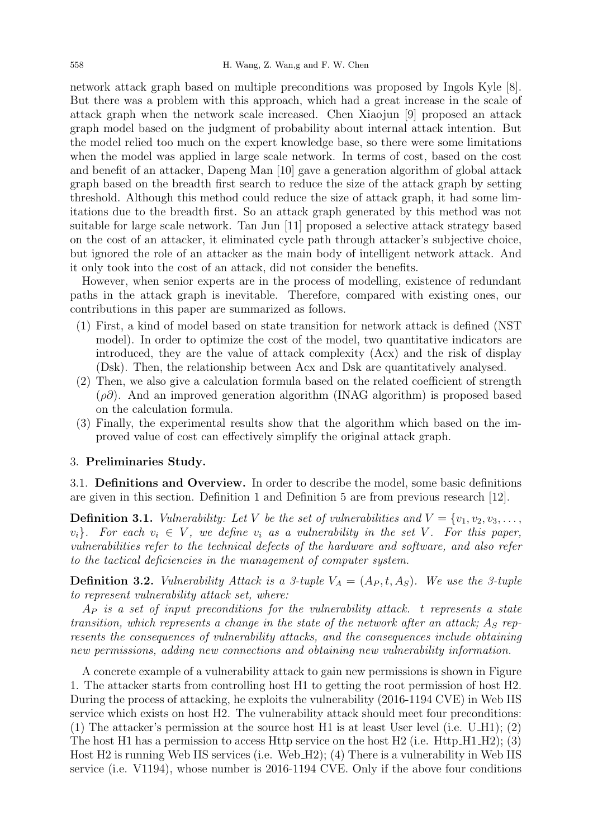network attack graph based on multiple preconditions was proposed by Ingols Kyle [8]. But there was a problem with this approach, which had a great increase in the scale of attack graph when the network scale increased. Chen Xiaojun [9] proposed an attack graph model based on the judgment of probability about internal attack intention. But the model relied too much on the expert knowledge base, so there were some limitations when the model was applied in large scale network. In terms of cost, based on the cost and benefit of an attacker, Dapeng Man [10] gave a generation algorithm of global attack graph based on the breadth first search to reduce the size of the attack graph by setting threshold. Although this method could reduce the size of attack graph, it had some limitations due to the breadth first. So an attack graph generated by this method was not suitable for large scale network. Tan Jun [11] proposed a selective attack strategy based on the cost of an attacker, it eliminated cycle path through attacker's subjective choice, but ignored the role of an attacker as the main body of intelligent network attack. And it only took into the cost of an attack, did not consider the benefits.

However, when senior experts are in the process of modelling, existence of redundant paths in the attack graph is inevitable. Therefore, compared with existing ones, our contributions in this paper are summarized as follows.

- (1) First, a kind of model based on state transition for network attack is defined (NST model). In order to optimize the cost of the model, two quantitative indicators are introduced, they are the value of attack complexity (Acx) and the risk of display (Dsk). Then, the relationship between Acx and Dsk are quantitatively analysed.
- (2) Then, we also give a calculation formula based on the related coefficient of strength  $(\rho \partial)$ . And an improved generation algorithm (INAG algorithm) is proposed based on the calculation formula.
- (3) Finally, the experimental results show that the algorithm which based on the improved value of cost can effectively simplify the original attack graph.

#### 3. Preliminaries Study.

3.1. Definitions and Overview. In order to describe the model, some basic definitions are given in this section. Definition 1 and Definition 5 are from previous research [12].

**Definition 3.1.** Vulnerability: Let V be the set of vulnerabilities and  $V = \{v_1, v_2, v_3, \ldots, v_n\}$  $v_i$ . For each  $v_i \in V$ , we define  $v_i$  as a vulnerability in the set V. For this paper, vulnerabilities refer to the technical defects of the hardware and software, and also refer to the tactical deficiencies in the management of computer system.

**Definition 3.2.** Vulnerability Attack is a 3-tuple  $V_A = (A_P, t, A_S)$ . We use the 3-tuple to represent vulnerability attack set, where:

 $A_P$  is a set of input preconditions for the vulnerability attack. t represents a state transition, which represents a change in the state of the network after an attack;  $A<sub>S</sub>$  represents the consequences of vulnerability attacks, and the consequences include obtaining new permissions, adding new connections and obtaining new vulnerability information.

A concrete example of a vulnerability attack to gain new permissions is shown in Figure 1. The attacker starts from controlling host H1 to getting the root permission of host H2. During the process of attacking, he exploits the vulnerability (2016-1194 CVE) in Web IIS service which exists on host H2. The vulnerability attack should meet four preconditions: (1) The attacker's permission at the source host H1 is at least User level (i.e. U\_H1); (2) The host H1 has a permission to access Http service on the host H2 (i.e.  $H$ ttp  $H1$   $H2$ ); (3) Host H2 is running Web IIS services (i.e. Web H2); (4) There is a vulnerability in Web IIS service (i.e. V1194), whose number is 2016-1194 CVE. Only if the above four conditions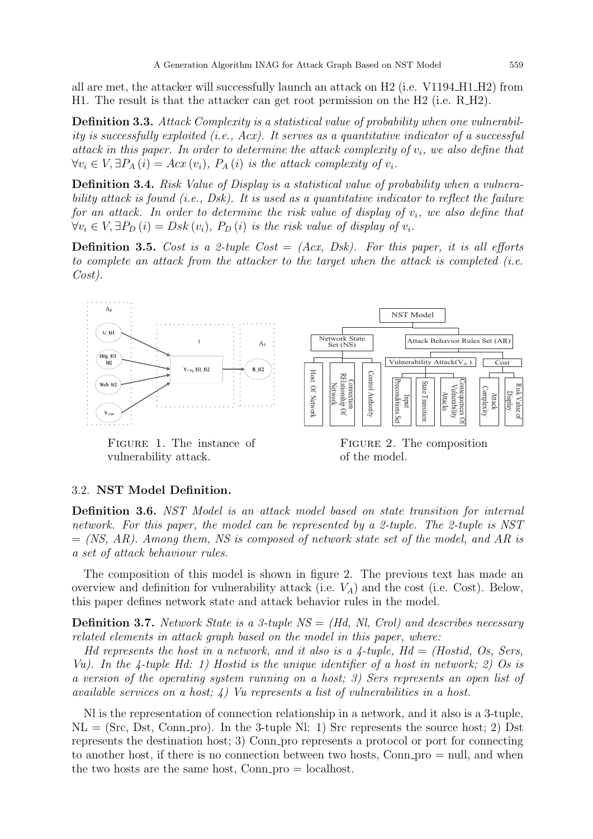all are met, the attacker will successfully launch an attack on H2 (i.e. V1194 H1 H2) from H1. The result is that the attacker can get root permission on the H2 (i.e. R\_H2).

Definition 3.3. Attack Complexity is a statistical value of probability when one vulnerability is successfully exploited (i.e., Acx). It serves as a quantitative indicator of a successful attack in this paper. In order to determine the attack complexity of  $v_i$ , we also define that  $\forall v_i \in V, \exists P_A(i) = Acx(v_i), P_A(i)$  is the attack complexity of  $v_i$ .

Definition 3.4. Risk Value of Display is a statistical value of probability when a vulnerability attack is found (i.e., Dsk). It is used as a quantitative indicator to reflect the failure for an attack. In order to determine the risk value of display of  $v_i$ , we also define that  $\forall v_i \in V, \exists P_D(i) = Dsk(v_i), P_D(i)$  is the risk value of display of  $v_i$ .

**Definition 3.5.** Cost is a 2-tuple Cost  $= (Ax, Dsk)$ . For this paper, it is all efforts to complete an attack from the attacker to the target when the attack is completed (i.e. Cost).



Figure 1. The instance of vulnerability attack.

Figure 2. The composition of the model.

# 3.2. NST Model Definition.

Definition 3.6. NST Model is an attack model based on state transition for internal network. For this paper, the model can be represented by a 2-tuple. The 2-tuple is NST  $=$  (NS, AR). Among them, NS is composed of network state set of the model, and AR is a set of attack behaviour rules.

The composition of this model is shown in figure 2. The previous text has made an overview and definition for vulnerability attack (i.e.  $V_A$ ) and the cost (i.e. Cost). Below, this paper defines network state and attack behavior rules in the model.

**Definition 3.7.** Network State is a 3-tuple  $NS = (Hd, Nl, Crol)$  and describes necessary related elements in attack graph based on the model in this paper, where:

Hd represents the host in a network, and it also is a  $\lambda$ -tuple, Hd = (Hostid, Os, Sers, Vu). In the 4-tuple Hd: 1) Hostid is the unique identifier of a host in network; 2) Os is a version of the operating system running on a host; 3) Sers represents an open list of available services on a host;  $\lambda$ ) Vu represents a list of vulnerabilities in a host.

Nl is the representation of connection relationship in a network, and it also is a 3-tuple,  $NL = (Src, Dst, Conn\_pro).$  In the 3-tuple Nl: 1) Src represents the source host; 2) Dst represents the destination host; 3) Conn pro represents a protocol or port for connecting to another host, if there is no connection between two hosts, Conn  $pro = null$ , and when the two hosts are the same host,  $Conn\_pro = localhost$ .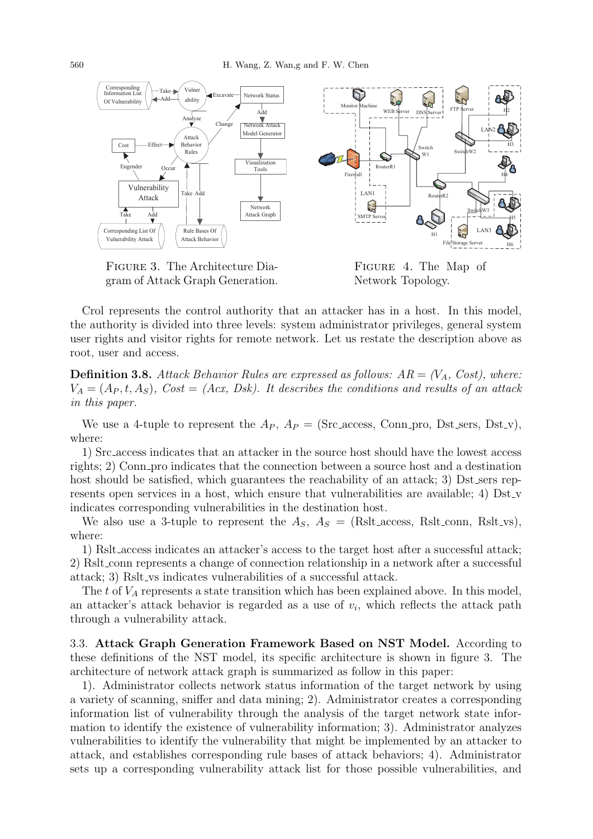

Figure 3. The Architecture Diagram of Attack Graph Generation.

Figure 4. The Map of Network Topology.

Crol represents the control authority that an attacker has in a host. In this model, the authority is divided into three levels: system administrator privileges, general system user rights and visitor rights for remote network. Let us restate the description above as root, user and access.

**Definition 3.8.** Attack Behavior Rules are expressed as follows:  $AR = (V_A, Cost)$ , where:  $V_A = (A_P, t, A_S)$ ,  $Cost = (Acx, Dsk)$ . It describes the conditions and results of an attack in this paper.

We use a 4-tuple to represent the  $A_P$ ,  $A_P =$  (Src access, Conn pro, Dst sers, Dst v), where:

1) Src access indicates that an attacker in the source host should have the lowest access rights; 2) Conn pro indicates that the connection between a source host and a destination host should be satisfied, which guarantees the reachability of an attack; 3) Dst sers represents open services in a host, which ensure that vulnerabilities are available; 4) Dst\_v indicates corresponding vulnerabilities in the destination host.

We also use a 3-tuple to represent the  $A_S$ ,  $A_S =$  (Rslt\_access, Rslt\_conn, Rslt\_vs), where:

1) Rslt access indicates an attacker's access to the target host after a successful attack; 2) Rslt conn represents a change of connection relationship in a network after a successful attack; 3) Rslt vs indicates vulnerabilities of a successful attack.

The t of  $V_A$  represents a state transition which has been explained above. In this model, an attacker's attack behavior is regarded as a use of  $v_i$ , which reflects the attack path through a vulnerability attack.

3.3. Attack Graph Generation Framework Based on NST Model. According to these definitions of the NST model, its specific architecture is shown in figure 3. The architecture of network attack graph is summarized as follow in this paper:

1). Administrator collects network status information of the target network by using a variety of scanning, sniffer and data mining; 2). Administrator creates a corresponding information list of vulnerability through the analysis of the target network state information to identify the existence of vulnerability information; 3). Administrator analyzes vulnerabilities to identify the vulnerability that might be implemented by an attacker to attack, and establishes corresponding rule bases of attack behaviors; 4). Administrator sets up a corresponding vulnerability attack list for those possible vulnerabilities, and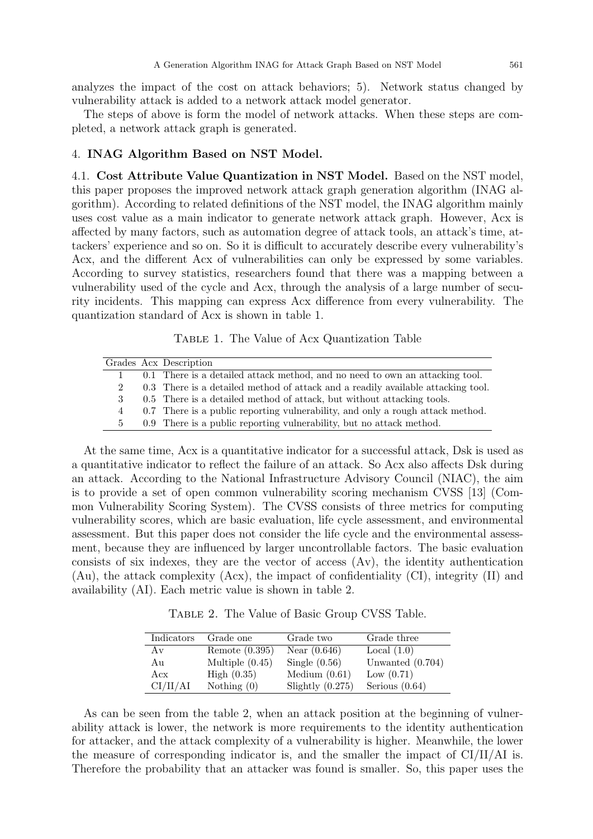analyzes the impact of the cost on attack behaviors; 5). Network status changed by vulnerability attack is added to a network attack model generator.

The steps of above is form the model of network attacks. When these steps are completed, a network attack graph is generated.

# 4. INAG Algorithm Based on NST Model.

4.1. Cost Attribute Value Quantization in NST Model. Based on the NST model, this paper proposes the improved network attack graph generation algorithm (INAG algorithm). According to related definitions of the NST model, the INAG algorithm mainly uses cost value as a main indicator to generate network attack graph. However, Acx is affected by many factors, such as automation degree of attack tools, an attack's time, attackers' experience and so on. So it is difficult to accurately describe every vulnerability's Acx, and the different Acx of vulnerabilities can only be expressed by some variables. According to survey statistics, researchers found that there was a mapping between a vulnerability used of the cycle and Acx, through the analysis of a large number of security incidents. This mapping can express Acx difference from every vulnerability. The quantization standard of Acx is shown in table 1.

Table 1. The Value of Acx Quantization Table

|               | Grades Acx Description                                                           |
|---------------|----------------------------------------------------------------------------------|
|               | 0.1 There is a detailed attack method, and no need to own an attacking tool.     |
|               | 0.3 There is a detailed method of attack and a readily available attacking tool. |
| $\mathcal{S}$ | 0.5 There is a detailed method of attack, but without attacking tools.           |
|               | 0.7 There is a public reporting vulnerability, and only a rough attack method.   |
| $\mathbf{b}$  | 0.9 There is a public reporting vulnerability, but no attack method.             |

At the same time, Acx is a quantitative indicator for a successful attack, Dsk is used as a quantitative indicator to reflect the failure of an attack. So Acx also affects Dsk during an attack. According to the National Infrastructure Advisory Council (NIAC), the aim is to provide a set of open common vulnerability scoring mechanism CVSS [13] (Common Vulnerability Scoring System). The CVSS consists of three metrics for computing vulnerability scores, which are basic evaluation, life cycle assessment, and environmental assessment. But this paper does not consider the life cycle and the environmental assessment, because they are influenced by larger uncontrollable factors. The basic evaluation consists of six indexes, they are the vector of access (Av), the identity authentication (Au), the attack complexity (Acx), the impact of confidentiality (CI), integrity (II) and availability (AI). Each metric value is shown in table 2.

Table 2. The Value of Basic Group CVSS Table.

| Indicators | Grade one         | Grade two          | Grade three        |
|------------|-------------------|--------------------|--------------------|
| Av         | Remote $(0.395)$  | Near $(0.646)$     | Local $(1.0)$      |
| Αu         | Multiple $(0.45)$ | Single $(0.56)$    | Unwanted $(0.704)$ |
| Accx       | High $(0.35)$     | Medium $(0.61)$    | Low $(0.71)$       |
| CI/II/AI   | Nothing $(0)$     | Slightly $(0.275)$ | Serious $(0.64)$   |

As can be seen from the table 2, when an attack position at the beginning of vulnerability attack is lower, the network is more requirements to the identity authentication for attacker, and the attack complexity of a vulnerability is higher. Meanwhile, the lower the measure of corresponding indicator is, and the smaller the impact of CI/II/AI is. Therefore the probability that an attacker was found is smaller. So, this paper uses the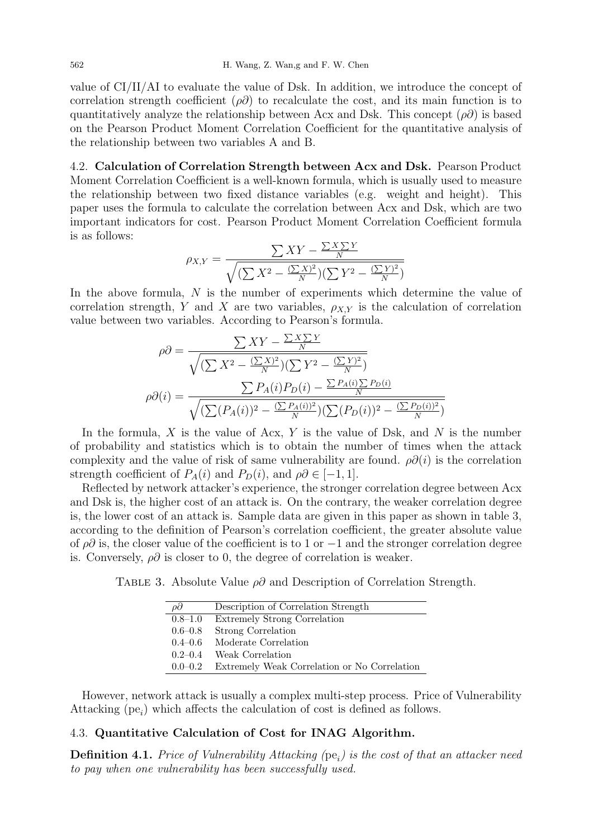value of  $\rm Cl/II/AI$  to evaluate the value of Dsk. In addition, we introduce the concept of correlation strength coefficient  $(\rho \partial)$  to recalculate the cost, and its main function is to quantitatively analyze the relationship between Acx and Dsk. This concept  $(\rho \partial)$  is based on the Pearson Product Moment Correlation Coefficient for the quantitative analysis of the relationship between two variables A and B.

4.2. Calculation of Correlation Strength between Acx and Dsk. Pearson Product Moment Correlation Coefficient is a well-known formula, which is usually used to measure the relationship between two fixed distance variables (e.g. weight and height). This paper uses the formula to calculate the correlation between Acx and Dsk, which are two important indicators for cost. Pearson Product Moment Correlation Coefficient formula is as follows:

$$
\rho_{X,Y} = \frac{\sum XY - \frac{\sum X \sum Y}{N}}{\sqrt{\left(\sum X^2 - \frac{(\sum X)^2}{N}\right)\left(\sum Y^2 - \frac{(\sum Y)^2}{N}\right)}}
$$

In the above formula, N is the number of experiments which determine the value of correlation strength, Y and X are two variables,  $\rho_{X,Y}$  is the calculation of correlation value between two variables. According to Pearson's formula.

$$
\rho \partial = \frac{\sum XY - \frac{\sum XY}{N}}{\sqrt{(\sum X^2 - \frac{(\sum X)^2}{N})(\sum Y^2 - \frac{(\sum Y)^2}{N})}}
$$

$$
\rho \partial(i) = \frac{\sum P_A(i)P_D(i) - \frac{\sum P_A(i)\sum P_D(i)}{N}}{\sqrt{(\sum (P_A(i))^2 - \frac{(\sum P_A(i))^2}{N})(\sum (P_D(i))^2 - \frac{(\sum P_D(i))^2}{N})}}
$$

In the formula, X is the value of Acx, Y is the value of Dsk, and N is the number of probability and statistics which is to obtain the number of times when the attack complexity and the value of risk of same vulnerability are found.  $\rho\partial(i)$  is the correlation strength coefficient of  $P_A(i)$  and  $P_D(i)$ , and  $\rho \partial \in [-1, 1]$ .

Reflected by network attacker's experience, the stronger correlation degree between Acx and Dsk is, the higher cost of an attack is. On the contrary, the weaker correlation degree is, the lower cost of an attack is. Sample data are given in this paper as shown in table 3, according to the definition of Pearson's correlation coefficient, the greater absolute value of  $\rho\partial$  is, the closer value of the coefficient is to 1 or  $-1$  and the stronger correlation degree is. Conversely,  $\rho\partial$  is closer to 0, the degree of correlation is weaker.

TABLE 3. Absolute Value  $\rho\partial$  and Description of Correlation Strength.

| $\rho\partial$ | Description of Correlation Strength          |
|----------------|----------------------------------------------|
| 0.8–1.0        | Extremely Strong Correlation                 |
| $0.6 - 0.8$    | Strong Correlation                           |
|                | $0.4-0.6$ Moderate Correlation               |
| $0.2 - 0.4$    | Weak Correlation                             |
| $0.0 - 0.2$    | Extremely Weak Correlation or No Correlation |

However, network attack is usually a complex multi-step process. Price of Vulnerability Attacking  $(pe_i)$  which affects the calculation of cost is defined as follows.

# 4.3. Quantitative Calculation of Cost for INAG Algorithm.

**Definition 4.1.** Price of Vulnerability Attacking ( $pe_i$ ) is the cost of that an attacker need to pay when one vulnerability has been successfully used.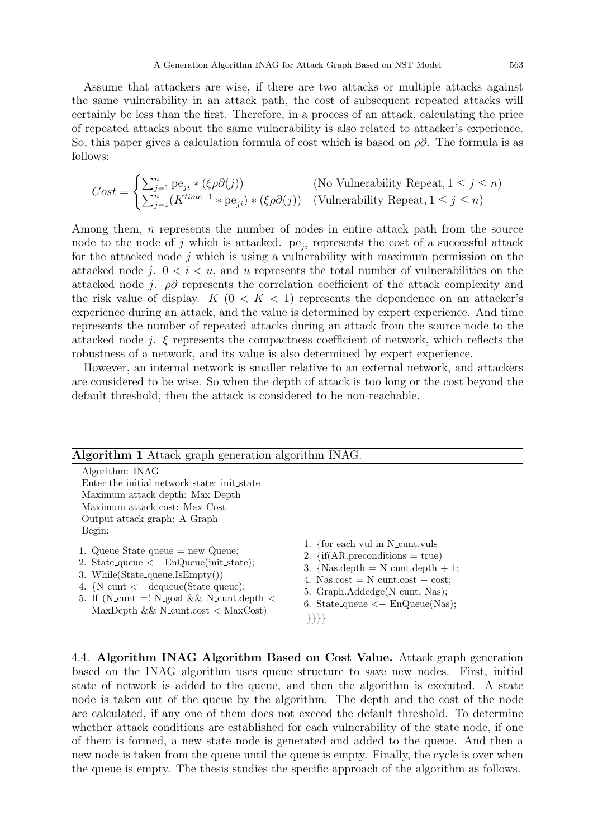Assume that attackers are wise, if there are two attacks or multiple attacks against the same vulnerability in an attack path, the cost of subsequent repeated attacks will certainly be less than the first. Therefore, in a process of an attack, calculating the price of repeated attacks about the same vulnerability is also related to attacker's experience. So, this paper gives a calculation formula of cost which is based on  $\rho\partial$ . The formula is as follows:

$$
Cost = \begin{cases} \sum_{j=1}^{n} \text{pe}_{ji} * (\xi \rho \partial(j)) & \text{(No Vulnerability Repeat, } 1 \le j \le n) \\ \sum_{j=1}^{n} (K^{time-1} * \text{pe}_{ji}) * (\xi \rho \partial(j)) & \text{(Vulnerability Repeat, } 1 \le j \le n) \end{cases}
$$

Among them, n represents the number of nodes in entire attack path from the source node to the node of j which is attacked.  $pe_{ji}$  represents the cost of a successful attack for the attacked node  $j$  which is using a vulnerability with maximum permission on the attacked node j.  $0 < i < u$ , and u represents the total number of vulnerabilities on the attacked node j.  $\rho\partial$  represents the correlation coefficient of the attack complexity and the risk value of display.  $K$  ( $0 < K < 1$ ) represents the dependence on an attacker's experience during an attack, and the value is determined by expert experience. And time represents the number of repeated attacks during an attack from the source node to the attacked node j.  $\xi$  represents the compactness coefficient of network, which reflects the robustness of a network, and its value is also determined by expert experience.

However, an internal network is smaller relative to an external network, and attackers are considered to be wise. So when the depth of attack is too long or the cost beyond the default threshold, then the attack is considered to be non-reachable.

| <b>Algorithm 1</b> Attack graph generation algorithm INAG.                                                                                                                                                                                                                             |                                                                                                                                                                                                                                                                     |
|----------------------------------------------------------------------------------------------------------------------------------------------------------------------------------------------------------------------------------------------------------------------------------------|---------------------------------------------------------------------------------------------------------------------------------------------------------------------------------------------------------------------------------------------------------------------|
| Algorithm: INAG<br>Enter the initial network state: init_state<br>Maximum attack depth: Max_Depth<br>Maximum attack cost: Max <sub>-Cost</sub><br>Output attack graph: A_Graph<br>Begin:                                                                                               |                                                                                                                                                                                                                                                                     |
| 1. Queue State_queue $=$ new Queue;<br>2. State_queue $\langle -\text{EnQueue}(\text{init\_state});$<br>3. While $(State\_queue\.IsEmpty())$<br>4. {N_cunt $\lt$ - dequeue(State_queue);<br>5. If (N_cunt =! N_goal && N_cunt.depth $\lt$<br>MaxDepth & $\&$ N_cunt.cost $\&$ MaxCost) | 1. {for each vul in N_cunt.vuls<br>2. $\{ \text{if(AR. preconditions} = \text{true}) \}$<br>3. {Nas.depth = $N$ -cunt.depth + 1;<br>4. Nas.cost = $N$ -cunt.cost + cost;<br>5. Graph.Addedge(N_cunt, Nas);<br>6. State_queue $\langle -\text{EnQueue(Nas)} \rangle$ |

4.4. Algorithm INAG Algorithm Based on Cost Value. Attack graph generation based on the INAG algorithm uses queue structure to save new nodes. First, initial state of network is added to the queue, and then the algorithm is executed. A state node is taken out of the queue by the algorithm. The depth and the cost of the node are calculated, if any one of them does not exceed the default threshold. To determine whether attack conditions are established for each vulnerability of the state node, if one of them is formed, a new state node is generated and added to the queue. And then a new node is taken from the queue until the queue is empty. Finally, the cycle is over when the queue is empty. The thesis studies the specific approach of the algorithm as follows.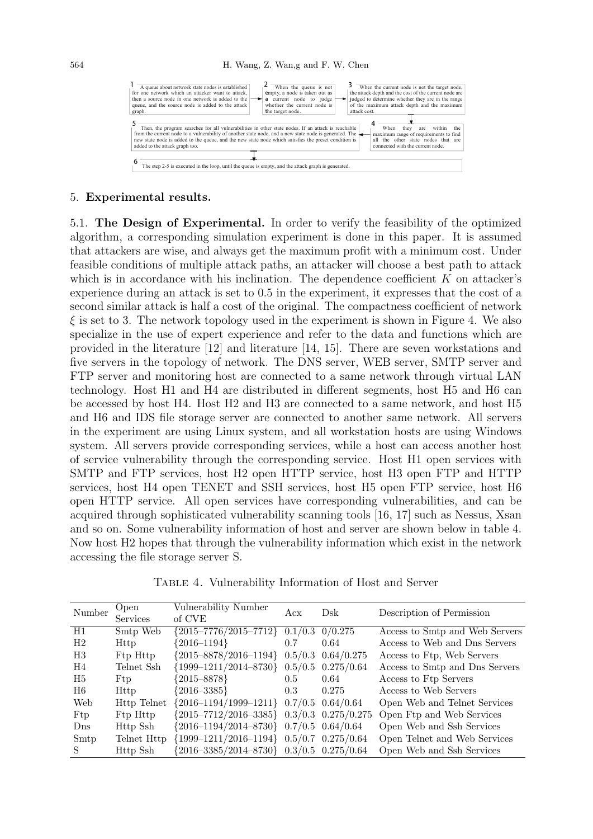

#### 5. Experimental results.

5.1. The Design of Experimental. In order to verify the feasibility of the optimized algorithm, a corresponding simulation experiment is done in this paper. It is assumed that attackers are wise, and always get the maximum profit with a minimum cost. Under feasible conditions of multiple attack paths, an attacker will choose a best path to attack which is in accordance with his inclination. The dependence coefficient  $K$  on attacker's experience during an attack is set to 0.5 in the experiment, it expresses that the cost of a second similar attack is half a cost of the original. The compactness coefficient of network  $\xi$  is set to 3. The network topology used in the experiment is shown in Figure 4. We also specialize in the use of expert experience and refer to the data and functions which are provided in the literature [12] and literature [14, 15]. There are seven workstations and five servers in the topology of network. The DNS server, WEB server, SMTP server and FTP server and monitoring host are connected to a same network through virtual LAN technology. Host H1 and H4 are distributed in different segments, host H5 and H6 can be accessed by host H4. Host H2 and H3 are connected to a same network, and host H5 and H6 and IDS file storage server are connected to another same network. All servers in the experiment are using Linux system, and all workstation hosts are using Windows system. All servers provide corresponding services, while a host can access another host of service vulnerability through the corresponding service. Host H1 open services with SMTP and FTP services, host H2 open HTTP service, host H3 open FTP and HTTP services, host H4 open TENET and SSH services, host H5 open FTP service, host H6 open HTTP service. All open services have corresponding vulnerabilities, and can be acquired through sophisticated vulnerability scanning tools [16, 17] such as Nessus, Xsan and so on. Some vulnerability information of host and server are shown below in table 4. Now host H2 hopes that through the vulnerability information which exist in the network accessing the file storage server S.

| Number          | Open                             | Vulnerability Number                            | Acx | Dsk   | Description of Permission      |  |
|-----------------|----------------------------------|-------------------------------------------------|-----|-------|--------------------------------|--|
|                 | <b>Services</b>                  | of CVE                                          |     |       |                                |  |
| H1              | Smtp Web                         | ${2015-7776/2015-7712}$ 0.1/0.3 0/0.275         |     |       | Access to Smtp and Web Servers |  |
| H <sub>2</sub>  | <b>Http</b>                      | ${2016 - 1194}$                                 | 0.7 | 0.64  | Access to Web and Dns Servers  |  |
| H3              | Ftp Http                         | ${2015 - 8878/2016 - 1194}$ 0.5/0.3 0.64/0.275  |     |       | Access to Ftp, Web Servers     |  |
| H4              | Telnet Ssh                       | ${1999-1211/2014-8730}$ 0.5/0.5 0.275/0.64      |     |       | Access to Smtp and Dns Servers |  |
| H5              | Ftp                              | ${2015 - 8878}$                                 | 0.5 | 0.64  | Access to Ftp Servers          |  |
| H6              | <b>Http</b>                      | ${2016 - 3385}$                                 | 0.3 | 0.275 | Access to Web Servers          |  |
| Web             | <b>Http Telnet</b>               | $\{2016 - 1194/1999 - 1211\}$ 0.7/0.5 0.64/0.64 |     |       | Open Web and Telnet Services   |  |
| Ftp             | F <sub>tp</sub> H <sub>ttp</sub> | ${2015-7712/2016-3385}$ 0.3/0.3 0.275/0.275     |     |       | Open Ftp and Web Services      |  |
| D <sub>ns</sub> | Http Ssh                         | ${2016-1194/2014-8730}$ 0.7/0.5 0.64/0.64       |     |       | Open Web and Ssh Services      |  |
| Smtp            | Telnet Http                      | ${1999-1211/2016-1194}$ 0.5/0.7 0.275/0.64      |     |       | Open Telnet and Web Services   |  |
| S.              | Http Ssh                         | $2016 - 3385/2014 - 8730$ 0.3/0.5 0.275/0.64    |     |       | Open Web and Ssh Services      |  |

Table 4. Vulnerability Information of Host and Server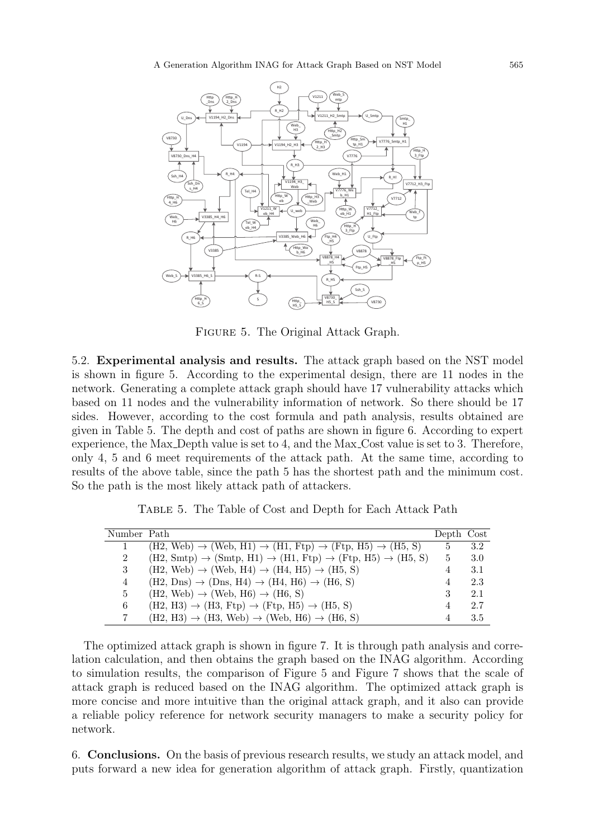

Figure 5. The Original Attack Graph.

5.2. Experimental analysis and results. The attack graph based on the NST model is shown in figure 5. According to the experimental design, there are 11 nodes in the network. Generating a complete attack graph should have 17 vulnerability attacks which based on 11 nodes and the vulnerability information of network. So there should be 17 sides. However, according to the cost formula and path analysis, results obtained are given in Table 5. The depth and cost of paths are shown in figure 6. According to expert experience, the Max Depth value is set to 4, and the Max Cost value is set to 3. Therefore, only 4, 5 and 6 meet requirements of the attack path. At the same time, according to results of the above table, since the path 5 has the shortest path and the minimum cost. So the path is the most likely attack path of attackers.

| Number Path |                                                                                                     | Depth Cost |     |
|-------------|-----------------------------------------------------------------------------------------------------|------------|-----|
|             | $(H2, Web) \rightarrow (Web, H1) \rightarrow (H1, Ftp) \rightarrow (Ftp, H5) \rightarrow (H5, S)$   | 5          | 3.2 |
| 2           | $(H2, Smtp) \rightarrow (Smtp, H1) \rightarrow (H1, Ftp) \rightarrow (Ftp, H5) \rightarrow (H5, S)$ | 5          | 3.0 |
| 3           | $(H2, Web) \rightarrow (Web, H4) \rightarrow (H4, H5) \rightarrow (H5, S)$                          | 4          | 3.1 |
| 4           | $(H2, Dns) \rightarrow (Dns, H4) \rightarrow (H4, H6) \rightarrow (H6, S)$                          | 4          | 2.3 |
| 5           | $(H2, Web) \rightarrow (Web, H6) \rightarrow (H6, S)$                                               | 3          | 2.1 |
| 6           | $(H2, H3) \rightarrow (H3, Ftp) \rightarrow (Ftp, H5) \rightarrow (H5, S)$                          | 4          | 2.7 |
|             | $(H2, H3) \rightarrow (H3, Web) \rightarrow (Web, H6) \rightarrow (H6, S)$                          |            | 3.5 |

Table 5. The Table of Cost and Depth for Each Attack Path

The optimized attack graph is shown in figure 7. It is through path analysis and correlation calculation, and then obtains the graph based on the INAG algorithm. According to simulation results, the comparison of Figure 5 and Figure 7 shows that the scale of attack graph is reduced based on the INAG algorithm. The optimized attack graph is more concise and more intuitive than the original attack graph, and it also can provide a reliable policy reference for network security managers to make a security policy for network.

6. Conclusions. On the basis of previous research results, we study an attack model, and puts forward a new idea for generation algorithm of attack graph. Firstly, quantization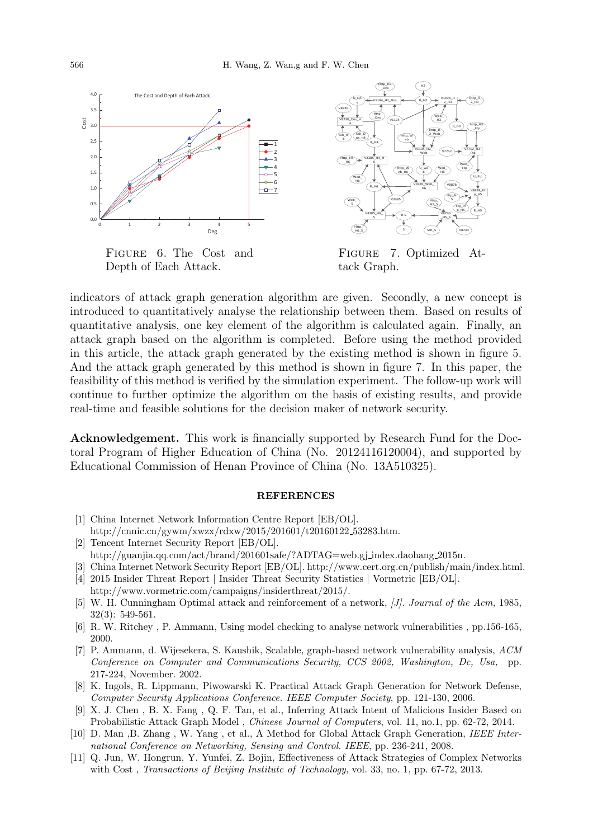

FIGURE 6. The Cost and Depth of Each Attack.



FIGURE 7. Optimized Attack Graph.

indicators of attack graph generation algorithm are given. Secondly, a new concept is introduced to quantitatively analyse the relationship between them. Based on results of quantitative analysis, one key element of the algorithm is calculated again. Finally, an attack graph based on the algorithm is completed. Before using the method provided in this article, the attack graph generated by the existing method is shown in figure 5. And the attack graph generated by this method is shown in figure 7. In this paper, the feasibility of this method is verified by the simulation experiment. The follow-up work will continue to further optimize the algorithm on the basis of existing results, and provide real-time and feasible solutions for the decision maker of network security.

Acknowledgement. This work is financially supported by Research Fund for the Doctoral Program of Higher Education of China (No. 20124116120004), and supported by Educational Commission of Henan Province of China (No. 13A510325).

#### **REFERENCES**

- [1] China Internet Network Information Centre Report [EB/OL]. http://cnnic.cn/gywm/xwzx/rdxw/2015/201601/t20160122 53283.htm.
- [2] Tencent Internet Security Report [EB/OL]. http://guanjia.qq.com/act/brand/201601safe/?ADTAG=web.gj index.daohang 2015n.
- [3] China Internet Network Security Report [EB/OL]. http://www.cert.org.cn/publish/main/index.html. [4] 2015 Insider Threat Report | Insider Threat Security Statistics | Vormetric [EB/OL].
- http://www.vormetric.com/campaigns/insiderthreat/2015/.
- [5] W. H. Cunningham Optimal attack and reinforcement of a network, [J]. Journal of the Acm, 1985, 32(3): 549-561.
- [6] R. W. Ritchey , P. Ammann, Using model checking to analyse network vulnerabilities , pp.156-165, 2000.
- [7] P. Ammann, d. Wijesekera, S. Kaushik, Scalable, graph-based network vulnerability analysis, ACM Conference on Computer and Communications Security, CCS 2002, Washington, Dc, Usa, pp. 217-224, November. 2002.
- [8] K. Ingols, R. Lippmann, Piwowarski K. Practical Attack Graph Generation for Network Defense, Computer Security Applications Conference. IEEE Computer Society, pp. 121-130, 2006.
- [9] X. J. Chen , B. X. Fang , Q. F. Tan, et al., Inferring Attack Intent of Malicious Insider Based on Probabilistic Attack Graph Model , Chinese Journal of Computers, vol. 11, no.1, pp. 62-72, 2014.
- [10] D. Man ,B. Zhang , W. Yang , et al., A Method for Global Attack Graph Generation, IEEE International Conference on Networking, Sensing and Control. IEEE, pp. 236-241, 2008.
- [11] Q. Jun, W. Hongrun, Y. Yunfei, Z. Bojin, Effectiveness of Attack Strategies of Complex Networks with Cost, *Transactions of Beijing Institute of Technology*, vol. 33, no. 1, pp. 67-72, 2013.